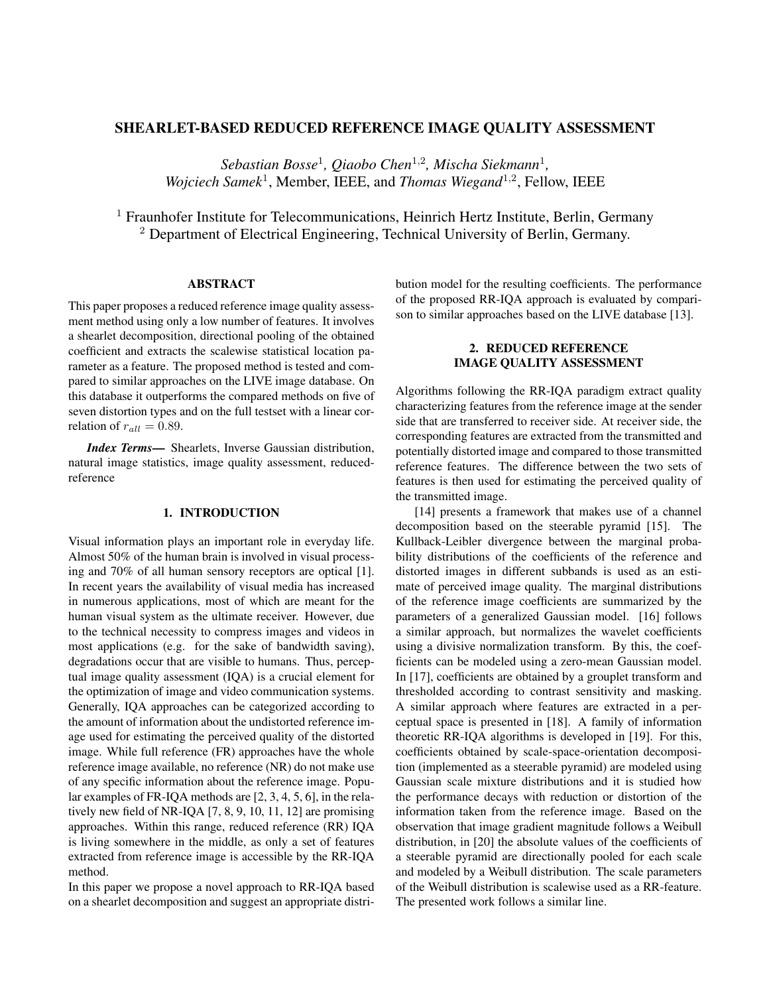# SHEARLET-BASED REDUCED REFERENCE IMAGE QUALITY ASSESSMENT

*Sebastian Bosse*<sup>1</sup> *, Qiaobo Chen*<sup>1</sup>,<sup>2</sup> *, Mischa Siekmann*<sup>1</sup> *,* Wojciech Samek<sup>1</sup>, Member, IEEE, and *Thomas Wiegand*<sup>1,2</sup>, Fellow, IEEE

<sup>1</sup> Fraunhofer Institute for Telecommunications, Heinrich Hertz Institute, Berlin, Germany <sup>2</sup> Department of Electrical Engineering, Technical University of Berlin, Germany.

# ABSTRACT

This paper proposes a reduced reference image quality assessment method using only a low number of features. It involves a shearlet decomposition, directional pooling of the obtained coefficient and extracts the scalewise statistical location parameter as a feature. The proposed method is tested and compared to similar approaches on the LIVE image database. On this database it outperforms the compared methods on five of seven distortion types and on the full testset with a linear correlation of  $r_{all} = 0.89$ .

*Index Terms*— Shearlets, Inverse Gaussian distribution, natural image statistics, image quality assessment, reducedreference

## 1. INTRODUCTION

Visual information plays an important role in everyday life. Almost 50% of the human brain is involved in visual processing and 70% of all human sensory receptors are optical [1]. In recent years the availability of visual media has increased in numerous applications, most of which are meant for the human visual system as the ultimate receiver. However, due to the technical necessity to compress images and videos in most applications (e.g. for the sake of bandwidth saving), degradations occur that are visible to humans. Thus, perceptual image quality assessment (IQA) is a crucial element for the optimization of image and video communication systems. Generally, IQA approaches can be categorized according to the amount of information about the undistorted reference image used for estimating the perceived quality of the distorted image. While full reference (FR) approaches have the whole reference image available, no reference (NR) do not make use of any specific information about the reference image. Popular examples of FR-IQA methods are [2, 3, 4, 5, 6], in the relatively new field of NR-IQA [7, 8, 9, 10, 11, 12] are promising approaches. Within this range, reduced reference (RR) IQA is living somewhere in the middle, as only a set of features extracted from reference image is accessible by the RR-IQA method.

In this paper we propose a novel approach to RR-IQA based on a shearlet decomposition and suggest an appropriate distribution model for the resulting coefficients. The performance of the proposed RR-IQA approach is evaluated by comparison to similar approaches based on the LIVE database [13].

# 2. REDUCED REFERENCE IMAGE QUALITY ASSESSMENT

Algorithms following the RR-IQA paradigm extract quality characterizing features from the reference image at the sender side that are transferred to receiver side. At receiver side, the corresponding features are extracted from the transmitted and potentially distorted image and compared to those transmitted reference features. The difference between the two sets of features is then used for estimating the perceived quality of the transmitted image.

[14] presents a framework that makes use of a channel decomposition based on the steerable pyramid [15]. The Kullback-Leibler divergence between the marginal probability distributions of the coefficients of the reference and distorted images in different subbands is used as an estimate of perceived image quality. The marginal distributions of the reference image coefficients are summarized by the parameters of a generalized Gaussian model. [16] follows a similar approach, but normalizes the wavelet coefficients using a divisive normalization transform. By this, the coefficients can be modeled using a zero-mean Gaussian model. In [17], coefficients are obtained by a grouplet transform and thresholded according to contrast sensitivity and masking. A similar approach where features are extracted in a perceptual space is presented in [18]. A family of information theoretic RR-IQA algorithms is developed in [19]. For this, coefficients obtained by scale-space-orientation decomposition (implemented as a steerable pyramid) are modeled using Gaussian scale mixture distributions and it is studied how the performance decays with reduction or distortion of the information taken from the reference image. Based on the observation that image gradient magnitude follows a Weibull distribution, in [20] the absolute values of the coefficients of a steerable pyramid are directionally pooled for each scale and modeled by a Weibull distribution. The scale parameters of the Weibull distribution is scalewise used as a RR-feature. The presented work follows a similar line.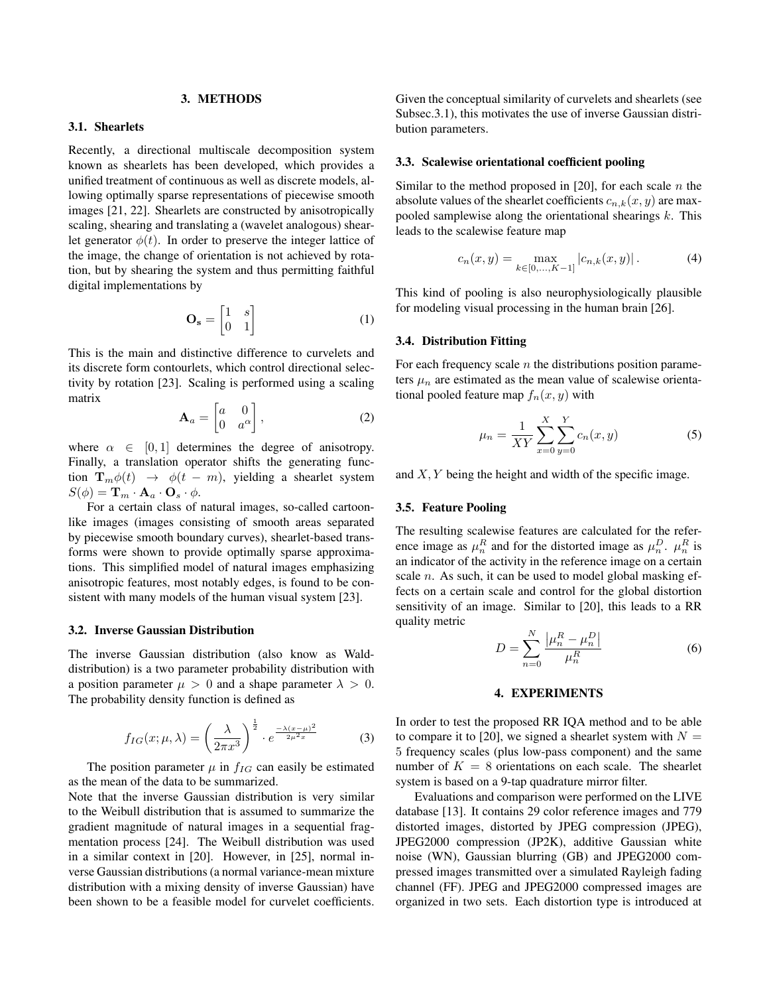### 3. METHODS

## 3.1. Shearlets

Recently, a directional multiscale decomposition system known as shearlets has been developed, which provides a unified treatment of continuous as well as discrete models, allowing optimally sparse representations of piecewise smooth images [21, 22]. Shearlets are constructed by anisotropically scaling, shearing and translating a (wavelet analogous) shearlet generator  $\phi(t)$ . In order to preserve the integer lattice of the image, the change of orientation is not achieved by rotation, but by shearing the system and thus permitting faithful digital implementations by

$$
\mathbf{O_s} = \begin{bmatrix} 1 & s \\ 0 & 1 \end{bmatrix} \tag{1}
$$

This is the main and distinctive difference to curvelets and its discrete form contourlets, which control directional selectivity by rotation [23]. Scaling is performed using a scaling matrix

$$
\mathbf{A}_a = \begin{bmatrix} a & 0 \\ 0 & a^{\alpha} \end{bmatrix},\tag{2}
$$

where  $\alpha \in [0, 1]$  determines the degree of anisotropy. Finally, a translation operator shifts the generating function  $\mathbf{T}_m \phi(t) \rightarrow \phi(t-m)$ , yielding a shearlet system  $S(\phi) = \mathbf{T}_m \cdot \mathbf{A}_a \cdot \mathbf{O}_s \cdot \phi.$ 

For a certain class of natural images, so-called cartoonlike images (images consisting of smooth areas separated by piecewise smooth boundary curves), shearlet-based transforms were shown to provide optimally sparse approximations. This simplified model of natural images emphasizing anisotropic features, most notably edges, is found to be consistent with many models of the human visual system [23].

### 3.2. Inverse Gaussian Distribution

The inverse Gaussian distribution (also know as Walddistribution) is a two parameter probability distribution with a position parameter  $\mu > 0$  and a shape parameter  $\lambda > 0$ . The probability density function is defined as

$$
f_{IG}(x; \mu, \lambda) = \left(\frac{\lambda}{2\pi x^3}\right)^{\frac{1}{2}} \cdot e^{\frac{-\lambda (x-\mu)^2}{2\mu^2 x}}
$$
(3)

The position parameter  $\mu$  in  $f_{IG}$  can easily be estimated as the mean of the data to be summarized.

Note that the inverse Gaussian distribution is very similar to the Weibull distribution that is assumed to summarize the gradient magnitude of natural images in a sequential fragmentation process [24]. The Weibull distribution was used in a similar context in [20]. However, in [25], normal inverse Gaussian distributions (a normal variance-mean mixture distribution with a mixing density of inverse Gaussian) have been shown to be a feasible model for curvelet coefficients.

Given the conceptual similarity of curvelets and shearlets (see Subsec.3.1), this motivates the use of inverse Gaussian distribution parameters.

#### 3.3. Scalewise orientational coefficient pooling

Similar to the method proposed in [20], for each scale  $n$  the absolute values of the shearlet coefficients  $c_{n,k}(x, y)$  are maxpooled samplewise along the orientational shearings  $k$ . This leads to the scalewise feature map

$$
c_n(x,y) = \max_{k \in [0,\dots,K-1]} |c_{n,k}(x,y)|.
$$
 (4)

This kind of pooling is also neurophysiologically plausible for modeling visual processing in the human brain [26].

#### 3.4. Distribution Fitting

For each frequency scale  $n$  the distributions position parameters  $\mu_n$  are estimated as the mean value of scalewise orientational pooled feature map  $f_n(x, y)$  with

$$
\mu_n = \frac{1}{XY} \sum_{x=0}^{X} \sum_{y=0}^{Y} c_n(x, y)
$$
\n(5)

and  $X, Y$  being the height and width of the specific image.

#### 3.5. Feature Pooling

The resulting scalewise features are calculated for the reference image as  $\mu_n^R$  and for the distorted image as  $\mu_n^D$ .  $\mu_n^R$  is an indicator of the activity in the reference image on a certain scale *n*. As such, it can be used to model global masking effects on a certain scale and control for the global distortion sensitivity of an image. Similar to [20], this leads to a RR quality metric

$$
D = \sum_{n=0}^{N} \frac{|\mu_n^R - \mu_n^D|}{\mu_n^R}
$$
 (6)

### 4. EXPERIMENTS

In order to test the proposed RR IQA method and to be able to compare it to [20], we signed a shearlet system with  $N =$ 5 frequency scales (plus low-pass component) and the same number of  $K = 8$  orientations on each scale. The shearlet system is based on a 9-tap quadrature mirror filter.

Evaluations and comparison were performed on the LIVE database [13]. It contains 29 color reference images and 779 distorted images, distorted by JPEG compression (JPEG), JPEG2000 compression (JP2K), additive Gaussian white noise (WN), Gaussian blurring (GB) and JPEG2000 compressed images transmitted over a simulated Rayleigh fading channel (FF). JPEG and JPEG2000 compressed images are organized in two sets. Each distortion type is introduced at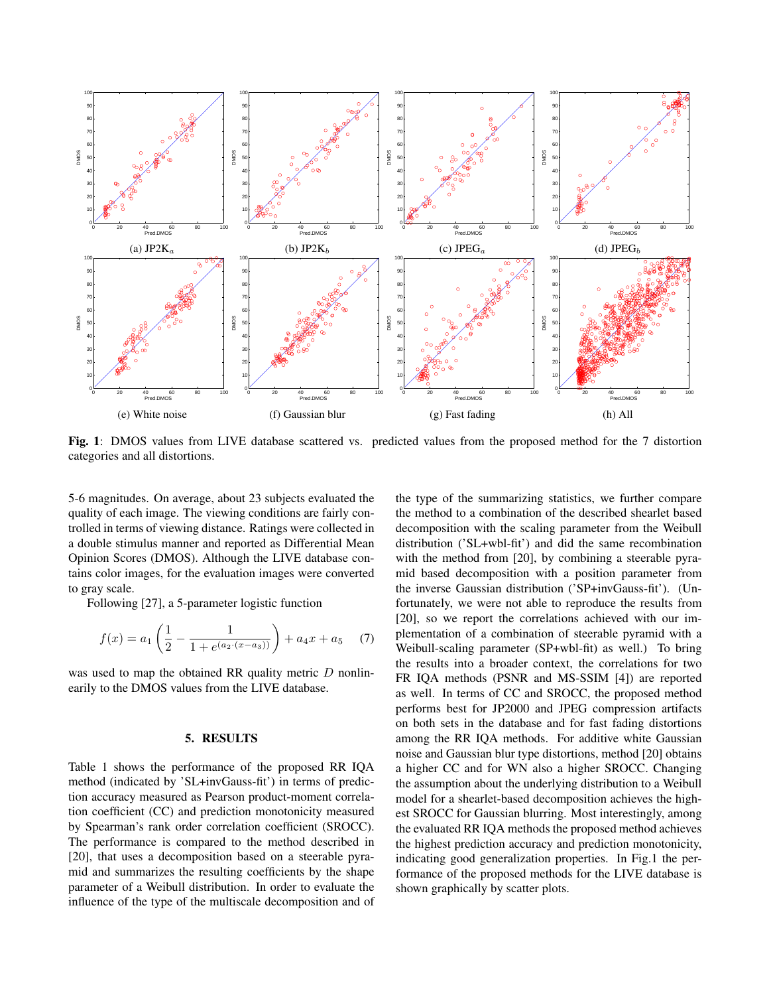

Fig. 1: DMOS values from LIVE database scattered vs. predicted values from the proposed method for the 7 distortion categories and all distortions.

5-6 magnitudes. On average, about 23 subjects evaluated the quality of each image. The viewing conditions are fairly controlled in terms of viewing distance. Ratings were collected in a double stimulus manner and reported as Differential Mean Opinion Scores (DMOS). Although the LIVE database contains color images, for the evaluation images were converted to gray scale.

Following [27], a 5-parameter logistic function

$$
f(x) = a_1 \left( \frac{1}{2} - \frac{1}{1 + e^{(a_2 \cdot (x - a_3))}} \right) + a_4 x + a_5 \quad (7)
$$

was used to map the obtained RR quality metric  $D$  nonlinearily to the DMOS values from the LIVE database.

## 5. RESULTS

Table 1 shows the performance of the proposed RR IQA method (indicated by 'SL+invGauss-fit') in terms of prediction accuracy measured as Pearson product-moment correlation coefficient (CC) and prediction monotonicity measured by Spearman's rank order correlation coefficient (SROCC). The performance is compared to the method described in [20], that uses a decomposition based on a steerable pyramid and summarizes the resulting coefficients by the shape parameter of a Weibull distribution. In order to evaluate the influence of the type of the multiscale decomposition and of the type of the summarizing statistics, we further compare the method to a combination of the described shearlet based decomposition with the scaling parameter from the Weibull distribution ('SL+wbl-fit') and did the same recombination with the method from [20], by combining a steerable pyramid based decomposition with a position parameter from the inverse Gaussian distribution ('SP+invGauss-fit'). (Unfortunately, we were not able to reproduce the results from [20], so we report the correlations achieved with our implementation of a combination of steerable pyramid with a Weibull-scaling parameter (SP+wbl-fit) as well.) To bring the results into a broader context, the correlations for two FR IQA methods (PSNR and MS-SSIM [4]) are reported as well. In terms of CC and SROCC, the proposed method performs best for JP2000 and JPEG compression artifacts on both sets in the database and for fast fading distortions among the RR IQA methods. For additive white Gaussian noise and Gaussian blur type distortions, method [20] obtains a higher CC and for WN also a higher SROCC. Changing the assumption about the underlying distribution to a Weibull model for a shearlet-based decomposition achieves the highest SROCC for Gaussian blurring. Most interestingly, among the evaluated RR IQA methods the proposed method achieves the highest prediction accuracy and prediction monotonicity, indicating good generalization properties. In Fig.1 the performance of the proposed methods for the LIVE database is shown graphically by scatter plots.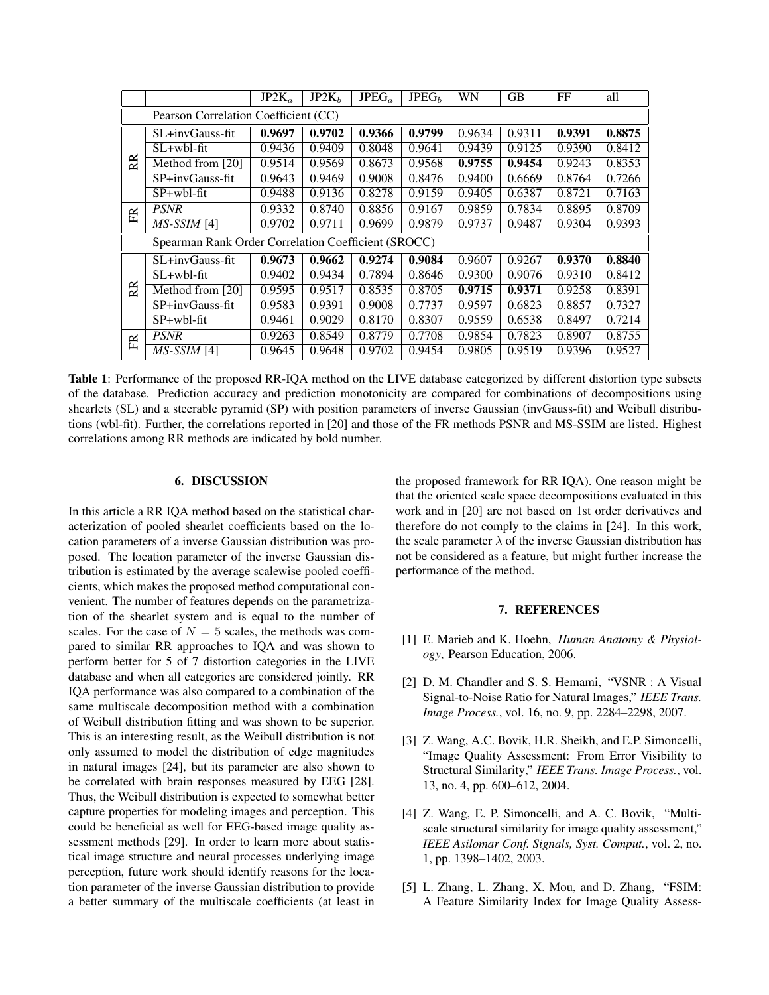|                                                     |                  | $JP2K_a$ | JP2K <sub>b</sub> | JPEG <sub>a</sub> | JPEG <sub>h</sub> | WN     | GB     | FF     | all    |
|-----------------------------------------------------|------------------|----------|-------------------|-------------------|-------------------|--------|--------|--------|--------|
| Pearson Correlation Coefficient (CC)                |                  |          |                   |                   |                   |        |        |        |        |
| RR.                                                 | SL+invGauss-fit  | 0.9697   | 0.9702            | 0.9366            | 0.9799            | 0.9634 | 0.9311 | 0.9391 | 0.8875 |
|                                                     | $SL+wbl$ -fit    | 0.9436   | $\sqrt{0.9409}$   | 0.8048            | 0.9641            | 0.9439 | 0.9125 | 0.9390 | 0.8412 |
|                                                     | Method from [20] | 0.9514   | 0.9569            | 0.8673            | 0.9568            | 0.9755 | 0.9454 | 0.9243 | 0.8353 |
|                                                     | SP+invGauss-fit  | 0.9643   | 0.9469            | 0.9008            | 0.8476            | 0.9400 | 0.6669 | 0.8764 | 0.7266 |
|                                                     | SP+wbl-fit       | 0.9488   | 0.9136            | 0.8278            | 0.9159            | 0.9405 | 0.6387 | 0.8721 | 0.7163 |
| 臣<br>                                               | <b>PSNR</b>      | 0.9332   | 0.8740            | 0.8856            | 0.9167            | 0.9859 | 0.7834 | 0.8895 | 0.8709 |
|                                                     | $MS-SSIM$ [4]    | 0.9702   | 0.9711            | 0.9699            | 0.9879            | 0.9737 | 0.9487 | 0.9304 | 0.9393 |
| Spearman Rank Order Correlation Coefficient (SROCC) |                  |          |                   |                   |                   |        |        |        |        |
| RR.                                                 | SL+invGauss-fit  | 0.9673   | 0.9662            | 0.9274            | 0.9084            | 0.9607 | 0.9267 | 0.9370 | 0.8840 |
|                                                     | $SL+whl$ -fit    | 0.9402   | 0.9434            | 0.7894            | 0.8646            | 0.9300 | 0.9076 | 0.9310 | 0.8412 |
|                                                     | Method from [20] | 0.9595   | 0.9517            | 0.8535            | 0.8705            | 0.9715 | 0.9371 | 0.9258 | 0.8391 |
|                                                     | SP+invGauss-fit  | 0.9583   | 0.9391            | 0.9008            | 0.7737            | 0.9597 | 0.6823 | 0.8857 | 0.7327 |
|                                                     | SP+wbl-fit       | 0.9461   | 0.9029            | 0.8170            | 0.8307            | 0.9559 | 0.6538 | 0.8497 | 0.7214 |
| 臣                                                   | <b>PSNR</b>      | 0.9263   | 0.8549            | 0.8779            | 0.7708            | 0.9854 | 0.7823 | 0.8907 | 0.8755 |
|                                                     | MS-SSIM [4]      | 0.9645   | 0.9648            | 0.9702            | 0.9454            | 0.9805 | 0.9519 | 0.9396 | 0.9527 |

Table 1: Performance of the proposed RR-IQA method on the LIVE database categorized by different distortion type subsets of the database. Prediction accuracy and prediction monotonicity are compared for combinations of decompositions using shearlets (SL) and a steerable pyramid (SP) with position parameters of inverse Gaussian (invGauss-fit) and Weibull distributions (wbl-fit). Further, the correlations reported in [20] and those of the FR methods PSNR and MS-SSIM are listed. Highest correlations among RR methods are indicated by bold number.

## 6. DISCUSSION

In this article a RR IQA method based on the statistical characterization of pooled shearlet coefficients based on the location parameters of a inverse Gaussian distribution was proposed. The location parameter of the inverse Gaussian distribution is estimated by the average scalewise pooled coefficients, which makes the proposed method computational convenient. The number of features depends on the parametrization of the shearlet system and is equal to the number of scales. For the case of  $N = 5$  scales, the methods was compared to similar RR approaches to IQA and was shown to perform better for 5 of 7 distortion categories in the LIVE database and when all categories are considered jointly. RR IQA performance was also compared to a combination of the same multiscale decomposition method with a combination of Weibull distribution fitting and was shown to be superior. This is an interesting result, as the Weibull distribution is not only assumed to model the distribution of edge magnitudes in natural images [24], but its parameter are also shown to be correlated with brain responses measured by EEG [28]. Thus, the Weibull distribution is expected to somewhat better capture properties for modeling images and perception. This could be beneficial as well for EEG-based image quality assessment methods [29]. In order to learn more about statistical image structure and neural processes underlying image perception, future work should identify reasons for the location parameter of the inverse Gaussian distribution to provide a better summary of the multiscale coefficients (at least in the proposed framework for RR IQA). One reason might be that the oriented scale space decompositions evaluated in this work and in [20] are not based on 1st order derivatives and therefore do not comply to the claims in [24]. In this work, the scale parameter  $\lambda$  of the inverse Gaussian distribution has not be considered as a feature, but might further increase the performance of the method.

### 7. REFERENCES

- [1] E. Marieb and K. Hoehn, *Human Anatomy & Physiology*, Pearson Education, 2006.
- [2] D. M. Chandler and S. S. Hemami, "VSNR : A Visual Signal-to-Noise Ratio for Natural Images," *IEEE Trans. Image Process.*, vol. 16, no. 9, pp. 2284–2298, 2007.
- [3] Z. Wang, A.C. Bovik, H.R. Sheikh, and E.P. Simoncelli, "Image Quality Assessment: From Error Visibility to Structural Similarity," *IEEE Trans. Image Process.*, vol. 13, no. 4, pp. 600–612, 2004.
- [4] Z. Wang, E. P. Simoncelli, and A. C. Bovik, "Multiscale structural similarity for image quality assessment," *IEEE Asilomar Conf. Signals, Syst. Comput.*, vol. 2, no. 1, pp. 1398–1402, 2003.
- [5] L. Zhang, L. Zhang, X. Mou, and D. Zhang, "FSIM: A Feature Similarity Index for Image Quality Assess-